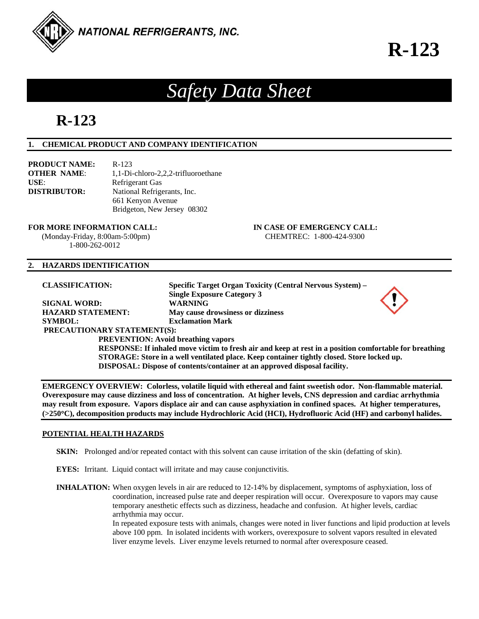

# **R-123**

## *Safety Data Sheet*

## **R-123**

### **1. CHEMICAL PRODUCT AND COMPANY IDENTIFICATION**

| <b>PRODUCT NAME:</b> | $R-123$                             |
|----------------------|-------------------------------------|
| <b>OTHER NAME:</b>   | 1,1-Di-chloro-2,2,2-trifluoroethane |
| USE:                 | <b>Refrigerant Gas</b>              |
| <b>DISTRIBUTOR:</b>  | National Refrigerants, Inc.         |
|                      | 661 Kenyon Avenue                   |
|                      | Bridgeton, New Jersey 08302         |

#### **FOR MORE INFORMATION CALL: IN CASE OF EMERGENCY CALL:**

 (Monday-Friday, 8:00am-5:00pm) CHEMTREC: 1-800-424-9300 1-800-262-0012

#### **2. HAZARDS IDENTIFICATION**

**CLASSIFICATION: Specific Target Organ Toxicity (Central Nervous System) – Single Exposure Category 3 SIGNAL WORD: WARNING HAZARD STATEMENT: May cause drowsiness or dizziness SYMBOL: Exclamation Mark PRECAUTIONARY STATEMENT(S): PREVENTION: Avoid breathing vapors RESPONSE: If inhaled move victim to fresh air and keep at rest in a position comfortable for breathing STORAGE: Store in a well ventilated place. Keep container tightly closed. Store locked up. DISPOSAL: Dispose of contents/container at an approved disposal facility.** 

**EMERGENCY OVERVIEW: Colorless, volatile liquid with ethereal and faint sweetish odor. Non-flammable material. Overexposure may cause dizziness and loss of concentration. At higher levels, CNS depression and cardiac arrhythmia may result from exposure. Vapors displace air and can cause asphyxiation in confined spaces. At higher temperatures, (>250C), decomposition products may include Hydrochloric Acid (HCI), Hydrofluoric Acid (HF) and carbonyl halides.** 

#### **POTENTIAL HEALTH HAZARDS**

**SKIN:** Prolonged and/or repeated contact with this solvent can cause irritation of the skin (defatting of skin).

**EYES:** Irritant. Liquid contact will irritate and may cause conjunctivitis.

**INHALATION:** When oxygen levels in air are reduced to 12-14% by displacement, symptoms of asphyxiation, loss of coordination, increased pulse rate and deeper respiration will occur. Overexposure to vapors may cause temporary anesthetic effects such as dizziness, headache and confusion. At higher levels, cardiac arrhythmia may occur.

In repeated exposure tests with animals, changes were noted in liver functions and lipid production at levels above 100 ppm. In isolated incidents with workers, overexposure to solvent vapors resulted in elevated liver enzyme levels. Liver enzyme levels returned to normal after overexposure ceased.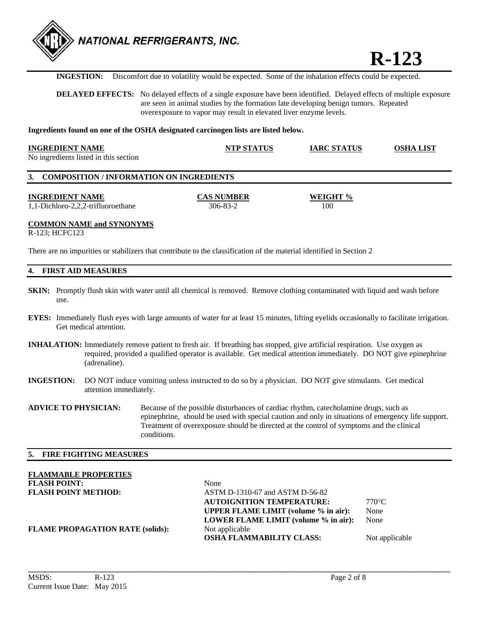

**R-123** 

**INGESTION:** Discomfort due to volatility would be expected. Some of the inhalation effects could be expected.

**DELAYED EFFECTS:** No delayed effects of a single exposure have been identified. Delayed effects of multiple exposure are seen in animal studies by the formation late developing benign tumors. Repeated overexposure to vapor may result in elevated liver enzyme levels.

#### **Ingredients found on one of the OSHA designated carcinogen lists are listed below.**

| <b>INGREDIENT NAME</b>                | <b>NTP STATUS</b> | <b>IARC STATUS</b> | <b>OSHA LIST</b> |
|---------------------------------------|-------------------|--------------------|------------------|
| No ingredients listed in this section |                   |                    |                  |

#### **3. COMPOSITION / INFORMATION ON INGREDIENTS**

**INGREDIENT NAME CAS NUMBER WEIGHT %**  1,1-Dichloro-2,2,2-trifluoroethane 306-83-2 100

#### **COMMON NAME and SYNONYMS**

R-123; HCFC123

There are no impurities or stabilizers that contribute to the classification of the material identified in Section 2

#### **4. FIRST AID MEASURES**

- **SKIN:** Promptly flush skin with water until all chemical is removed. Remove clothing contaminated with liquid and wash before use.
- **EYES:** Immediately flush eyes with large amounts of water for at least 15 minutes, lifting eyelids occasionally to facilitate irrigation. Get medical attention.
- **INHALATION:** Immediately remove patient to fresh air. If breathing has stopped, give artificial respiration. Use oxygen as required, provided a qualified operator is available. Get medical attention immediately. DO NOT give epinephrine (adrenaline).
- **INGESTION:** DO NOT induce vomiting unless instructed to do so by a physician. DO NOT give stimulants. Get medical attention immediately.

**ADVICE TO PHYSICIAN:** Because of the possible disturbances of cardiac rhythm, catecholamine drugs, such as epinephrine, should be used with special caution and only in situations of emergency life support. Treatment of overexposure should be directed at the control of symptoms and the clinical conditions.

#### **5. FIRE FIGHTING MEASURES**

# **FLAMMABLE PROPERTIES**

**FLASH POINT:** None<br> **FLASH POINT METHOD:** ASTN **ASTM D-1310-67 and ASTM D-56-82 AUTOIGNITION TEMPERATURE:** 770°C **UPPER FLAME LIMIT (volume % in air):** None **LOWER FLAME LIMIT (volume % in air):** None **FLAME PROPAGATION RATE (solids):** Not applicable **OSHA FLAMMABILITY CLASS:** Not applicable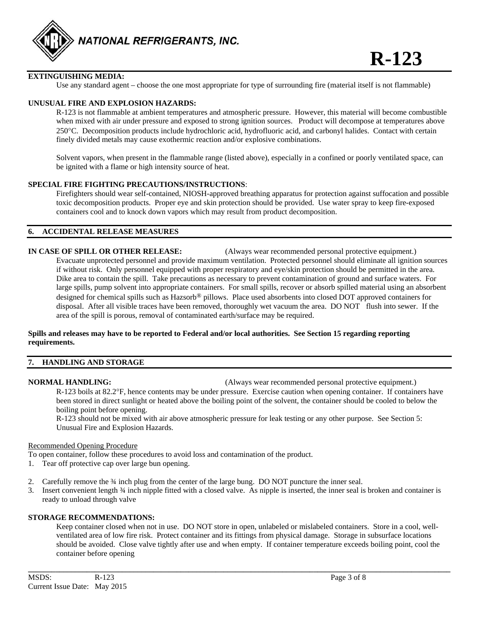

#### **EXTINGUISHING MEDIA:**

Use any standard agent – choose the one most appropriate for type of surrounding fire (material itself is not flammable)

#### **UNUSUAL FIRE AND EXPLOSION HAZARDS:**

 R-123 is not flammable at ambient temperatures and atmospheric pressure. However, this material will become combustible when mixed with air under pressure and exposed to strong ignition sources. Product will decompose at temperatures above 250C. Decomposition products include hydrochloric acid, hydrofluoric acid, and carbonyl halides. Contact with certain finely divided metals may cause exothermic reaction and/or explosive combinations.

 Solvent vapors, when present in the flammable range (listed above), especially in a confined or poorly ventilated space, can be ignited with a flame or high intensity source of heat.

#### **SPECIAL FIRE FIGHTING PRECAUTIONS/INSTRUCTIONS**:

 Firefighters should wear self-contained, NIOSH-approved breathing apparatus for protection against suffocation and possible toxic decomposition products. Proper eye and skin protection should be provided. Use water spray to keep fire-exposed containers cool and to knock down vapors which may result from product decomposition.

#### **6. ACCIDENTAL RELEASE MEASURES**

#### **IN CASE OF SPILL OR OTHER RELEASE:** (Always wear recommended personal protective equipment.)

 Evacuate unprotected personnel and provide maximum ventilation. Protected personnel should eliminate all ignition sources if without risk. Only personnel equipped with proper respiratory and eye/skin protection should be permitted in the area. Dike area to contain the spill. Take precautions as necessary to prevent contamination of ground and surface waters. For large spills, pump solvent into appropriate containers. For small spills, recover or absorb spilled material using an absorbent designed for chemical spills such as Hazsorb® pillows. Place used absorbents into closed DOT approved containers for disposal. After all visible traces have been removed, thoroughly wet vacuum the area. DO NOT flush into sewer. If the area of the spill is porous, removal of contaminated earth/surface may be required.

#### **Spills and releases may have to be reported to Federal and/or local authorities. See Section 15 regarding reporting requirements.**

### **7. HANDLING AND STORAGE**

**NORMAL HANDLING:** (Always wear recommended personal protective equipment.)

 R-123 boils at 82.2F, hence contents may be under pressure. Exercise caution when opening container. If containers have been stored in direct sunlight or heated above the boiling point of the solvent, the container should be cooled to below the boiling point before opening.

 R-123 should not be mixed with air above atmospheric pressure for leak testing or any other purpose. See Section 5: Unusual Fire and Explosion Hazards.

#### Recommended Opening Procedure

To open container, follow these procedures to avoid loss and contamination of the product.

- 1. Tear off protective cap over large bun opening.
- 2. Carefully remove the 34 inch plug from the center of the large bung. DO NOT puncture the inner seal.
- 3. Insert convenient length ¾ inch nipple fitted with a closed valve. As nipple is inserted, the inner seal is broken and container is ready to unload through valve

#### **STORAGE RECOMMENDATIONS:**

 Keep container closed when not in use. DO NOT store in open, unlabeled or mislabeled containers. Store in a cool, well ventilated area of low fire risk. Protect container and its fittings from physical damage. Storage in subsurface locations should be avoided. Close valve tightly after use and when empty. If container temperature exceeds boiling point, cool the container before opening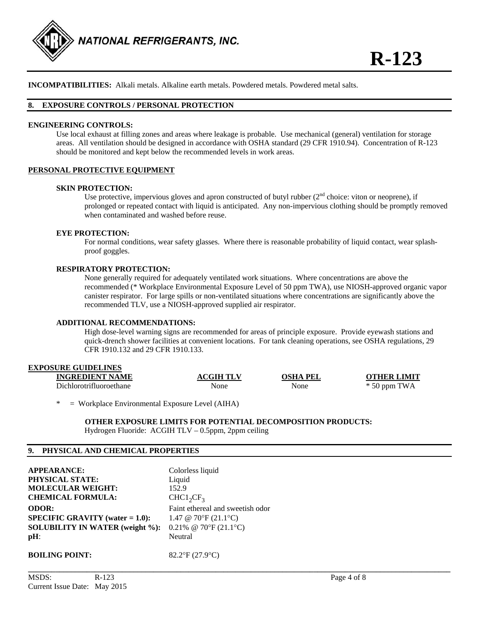

**INCOMPATIBILITIES:** Alkali metals. Alkaline earth metals. Powdered metals. Powdered metal salts.

#### **8. EXPOSURE CONTROLS / PERSONAL PROTECTION**

#### **ENGINEERING CONTROLS:**

 Use local exhaust at filling zones and areas where leakage is probable. Use mechanical (general) ventilation for storage areas. All ventilation should be designed in accordance with OSHA standard (29 CFR 1910.94). Concentration of R-123 should be monitored and kept below the recommended levels in work areas.

#### **PERSONAL PROTECTIVE EQUIPMENT**

#### **SKIN PROTECTION:**

Use protective, impervious gloves and apron constructed of butyl rubber ( $2<sup>nd</sup>$  choice: viton or neoprene), if prolonged or repeated contact with liquid is anticipated. Any non-impervious clothing should be promptly removed when contaminated and washed before reuse.

#### **EYE PROTECTION:**

For normal conditions, wear safety glasses. Where there is reasonable probability of liquid contact, wear splashproof goggles.

#### **RESPIRATORY PROTECTION:**

None generally required for adequately ventilated work situations. Where concentrations are above the recommended (\* Workplace Environmental Exposure Level of 50 ppm TWA), use NIOSH-approved organic vapor canister respirator. For large spills or non-ventilated situations where concentrations are significantly above the recommended TLV, use a NIOSH-approved supplied air respirator.

#### **ADDITIONAL RECOMMENDATIONS:**

High dose-level warning signs are recommended for areas of principle exposure. Provide eyewash stations and quick-drench shower facilities at convenient locations. For tank cleaning operations, see OSHA regulations, 29 CFR 1910.132 and 29 CFR 1910.133.

#### **EXPOSURE GUIDELINES**

| <b>INGREDIENT NAME</b>  | <b>ACGIH TLV</b> | OSHA PEI | <b>OTHER LIMIT</b>      |
|-------------------------|------------------|----------|-------------------------|
| Dichlorotrifluoroethane | None             | None     | <b>TWA</b><br>$*50$ ppm |

**\_\_\_\_\_\_\_\_\_\_\_\_\_\_\_\_\_\_\_\_\_\_\_\_\_\_\_\_\_\_\_\_\_\_\_\_\_\_\_\_\_\_\_\_\_\_\_\_\_\_\_\_\_\_\_\_\_\_\_\_\_\_\_\_\_\_\_\_\_\_\_\_\_\_\_\_\_\_\_\_\_\_\_\_\_\_\_\_\_\_\_\_\_\_\_\_\_\_\_\_\_\_\_\_\_\_\_\_** 

 $=$  Workplace Environmental Exposure Level (AIHA)

#### **OTHER EXPOSURE LIMITS FOR POTENTIAL DECOMPOSITION PRODUCTS:**

Hydrogen Fluoride: ACGIH TLV – 0.5ppm, 2ppm ceiling

#### **9. PHYSICAL AND CHEMICAL PROPERTIES**

| <b>APPEARANCE:</b>                        | Colorless liquid                 |
|-------------------------------------------|----------------------------------|
| <b>PHYSICAL STATE:</b>                    | Liquid                           |
| <b>MOLECULAR WEIGHT:</b>                  | 152.9                            |
| <b>CHEMICAL FORMULA:</b>                  | $CHC1_2CF_3$                     |
| <b>ODOR:</b>                              | Faint ethereal and sweetish odor |
| <b>SPECIFIC GRAVITY</b> (water $= 1.0$ ): | 1.47 @ 70°F $(21.1$ °C)          |
| <b>SOLUBILITY IN WATER (weight %):</b>    | 0.21% @ 70°F $(21.1$ °C)         |
| $pH$ :                                    | Neutral                          |
| <b>BOILING POINT:</b>                     | $82.2$ °F (27.9°C)               |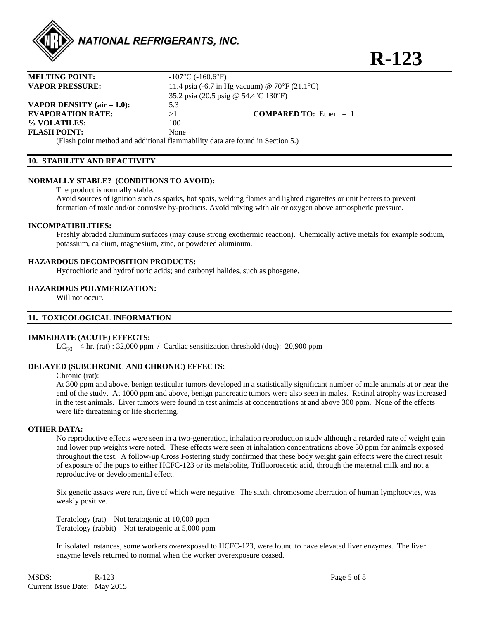

**R-123** 

| <b>MELTING POINT:</b>                                                         | $-107$ °C ( $-160.6$ °F)                      |                                 |
|-------------------------------------------------------------------------------|-----------------------------------------------|---------------------------------|
| <b>VAPOR PRESSURE:</b>                                                        | 11.4 psia (-6.7 in Hg vacuum) @ 70°F (21.1°C) |                                 |
|                                                                               | 35.2 psia (20.5 psig @ 54.4 °C 130 °F)        |                                 |
| <b>VAPOR DENSITY</b> ( $air = 1.0$ ):                                         | 5.3                                           |                                 |
| <b>EVAPORATION RATE:</b>                                                      | >1                                            | <b>COMPARED TO:</b> Ether $= 1$ |
| % VOLATILES:                                                                  | 100                                           |                                 |
| <b>FLASH POINT:</b>                                                           | None                                          |                                 |
| (Flash point method and additional flammability data are found in Section 5.) |                                               |                                 |

#### **10. STABILITY AND REACTIVITY**

#### **NORMALLY STABLE? (CONDITIONS TO AVOID):**

The product is normally stable.

 Avoid sources of ignition such as sparks, hot spots, welding flames and lighted cigarettes or unit heaters to prevent formation of toxic and/or corrosive by-products. Avoid mixing with air or oxygen above atmospheric pressure.

#### **INCOMPATIBILITIES:**

 Freshly abraded aluminum surfaces (may cause strong exothermic reaction). Chemically active metals for example sodium, potassium, calcium, magnesium, zinc, or powdered aluminum.

#### **HAZARDOUS DECOMPOSITION PRODUCTS:**

Hydrochloric and hydrofluoric acids; and carbonyl halides, such as phosgene.

#### **HAZARDOUS POLYMERIZATION:**

Will not occur.

#### **11. TOXICOLOGICAL INFORMATION**

#### **IMMEDIATE (ACUTE) EFFECTS:**

 $LC_{50} - 4$  hr. (rat) : 32,000 ppm / Cardiac sensitization threshold (dog): 20,900 ppm

#### **DELAYED (SUBCHRONIC AND CHRONIC) EFFECTS:**

Chronic (rat):

 At 300 ppm and above, benign testicular tumors developed in a statistically significant number of male animals at or near the end of the study. At 1000 ppm and above, benign pancreatic tumors were also seen in males. Retinal atrophy was increased in the test animals. Liver tumors were found in test animals at concentrations at and above 300 ppm. None of the effects were life threatening or life shortening.

#### **OTHER DATA:**

No reproductive effects were seen in a two-generation, inhalation reproduction study although a retarded rate of weight gain and lower pup weights were noted. These effects were seen at inhalation concentrations above 30 ppm for animals exposed throughout the test. A follow-up Cross Fostering study confirmed that these body weight gain effects were the direct result of exposure of the pups to either HCFC-123 or its metabolite, Trifluoroacetic acid, through the maternal milk and not a reproductive or developmental effect.

Six genetic assays were run, five of which were negative. The sixth, chromosome aberration of human lymphocytes, was weakly positive.

Teratology (rat) – Not teratogenic at 10,000 ppm Teratology (rabbit) – Not teratogenic at 5,000 ppm

In isolated instances, some workers overexposed to HCFC-123, were found to have elevated liver enzymes. The liver enzyme levels returned to normal when the worker overexposure ceased.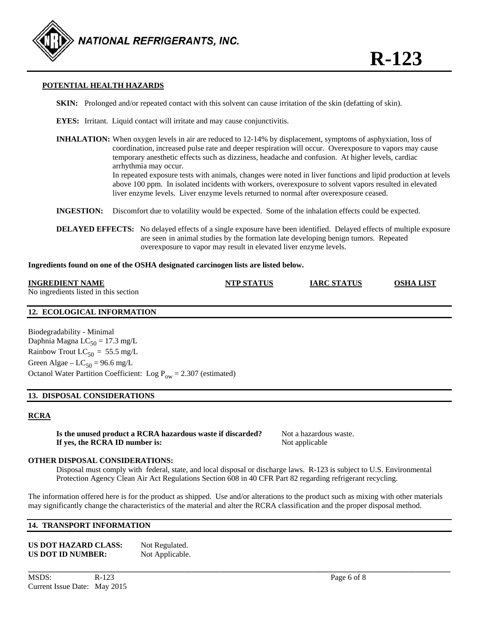

#### **POTENTIAL HEALTH HAZARDS**

- **SKIN:** Prolonged and/or repeated contact with this solvent can cause irritation of the skin (defatting of skin).
- **EYES:** Irritant. Liquid contact will irritate and may cause conjunctivitis.
- **INHALATION:** When oxygen levels in air are reduced to 12-14% by displacement, symptoms of asphyxiation, loss of coordination, increased pulse rate and deeper respiration will occur. Overexposure to vapors may cause temporary anesthetic effects such as dizziness, headache and confusion. At higher levels, cardiac arrhythmia may occur. In repeated exposure tests with animals, changes were noted in liver functions and lipid production at levels above 100 ppm. In isolated incidents with workers, overexposure to solvent vapors resulted in elevated liver enzyme levels. Liver enzyme levels returned to normal after overexposure ceased.
- **INGESTION:** Discomfort due to volatility would be expected. Some of the inhalation effects could be expected.
- **DELAYED EFFECTS:** No delayed effects of a single exposure have been identified. Delayed effects of multiple exposure are seen in animal studies by the formation late developing benign tumors. Repeated overexposure to vapor may result in elevated liver enzyme levels.

#### **Ingredients found on one of the OSHA designated carcinogen lists are listed below.**

| <b>INGREDIENT NAME</b>                | <b>NTP STATUS</b> | <b>IARC STATUS</b> | <b>OSHA LIST</b> |
|---------------------------------------|-------------------|--------------------|------------------|
| No ingredients listed in this section |                   |                    |                  |

#### **12. ECOLOGICAL INFORMATION**

Biodegradability - Minimal Daphnia Magna  $LC_{50} = 17.3$  mg/L Rainbow Trout  $LC_{50} = 55.5$  mg/L Green Algae –  $LC_{50} = 96.6$  mg/L Octanol Water Partition Coefficient: Log  $P_{ow} = 2.307$  (estimated)

#### **13. DISPOSAL CONSIDERATIONS**

#### **RCRA**

**Is the unused product a RCRA hazardous waste if discarded?** Not a hazardous waste. **If yes, the RCRA ID number is:** Not applicable

#### **OTHER DISPOSAL CONSIDERATIONS:**

 Disposal must comply with federal, state, and local disposal or discharge laws. R-123 is subject to U.S. Environmental Protection Agency Clean Air Act Regulations Section 608 in 40 CFR Part 82 regarding refrigerant recycling.

The information offered here is for the product as shipped. Use and/or alterations to the product such as mixing with other materials may significantly change the characteristics of the material and alter the RCRA classification and the proper disposal method.

**\_\_\_\_\_\_\_\_\_\_\_\_\_\_\_\_\_\_\_\_\_\_\_\_\_\_\_\_\_\_\_\_\_\_\_\_\_\_\_\_\_\_\_\_\_\_\_\_\_\_\_\_\_\_\_\_\_\_\_\_\_\_\_\_\_\_\_\_\_\_\_\_\_\_\_\_\_\_\_\_\_\_\_\_\_\_\_\_\_\_\_\_\_\_\_\_\_\_\_\_\_\_\_\_\_\_\_\_** 

#### **14. TRANSPORT INFORMATION**

**US DOT HAZARD CLASS:** Not Regulated. **US DOT ID NUMBER:** Not Applicable.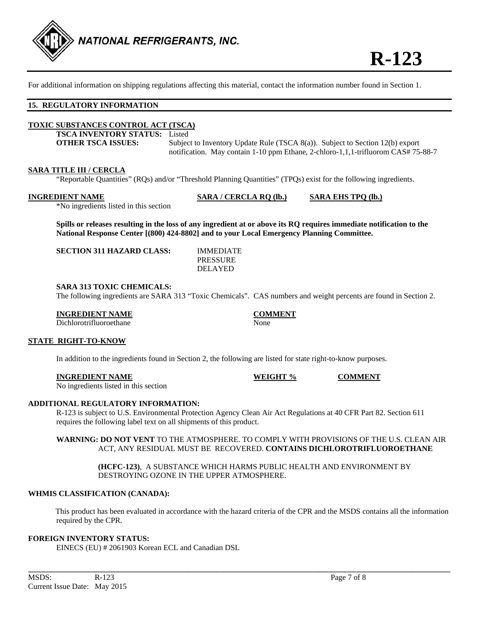

For additional information on shipping regulations affecting this material, contact the information number found in Section 1.

#### **15. REGULATORY INFORMATION**

#### **TOXIC SUBSTANCES CONTROL ACT (TSCA)**

**TSCA INVENTORY STATUS:** Listed

**OTHER TSCA ISSUES:** Subject to Inventory Update Rule (TSCA 8(a)). Subject to Section 12(b) export notification. May contain 1-10 ppm Ethane, 2-chloro-1,1,1-trifluorom CAS# 75-88-7

**INGRET % COMMENT** 

#### **SARA TITLE III / CERCLA**

"Reportable Quantities" (RQs) and/or "Threshold Planning Quantities" (TPQs) exist for the following ingredients.

**INGREDIENT NAME SARA / CERCLA RQ (lb.) SARA EHS TPQ (lb.)**

\*No ingredients listed in this section

**Spills or releases resulting in the loss of any ingredient at or above its RQ requires immediate notification to the National Response Center [(800) 424-8802] and to your Local Emergency Planning Committee.** 

**SECTION 311 HAZARD CLASS:** IMMEDIATE

 PRESSURE DELAYED

#### **SARA 313 TOXIC CHEMICALS:**

The following ingredients are SARA 313 "Toxic Chemicals". CAS numbers and weight percents are found in Section 2.

#### **INGREDIENT NAME COMMENT**

Dichlorotrifluoroethane None

#### **STATE RIGHT-TO-KNOW**

In addition to the ingredients found in Section 2, the following are listed for state right-to-know purposes.

| INGREDIENT NAME |  |
|-----------------|--|
|-----------------|--|

No ingredients listed in this section

#### **ADDITIONAL REGULATORY INFORMATION:**

 R-123 is subject to U.S. Environmental Protection Agency Clean Air Act Regulations at 40 CFR Part 82. Section 611 requires the following label text on all shipments of this product.

#### **WARNING: DO NOT VENT** TO THE ATMOSPHERE. TO COMPLY WITH PROVISIONS OF THE U.S. CLEAN AIR ACT, ANY RESIDUAL MUST BE RECOVERED. **CONTAINS DICHLOROTRIFLUOROETHANE**

 **(HCFC-123)**, A SUBSTANCE WHICH HARMS PUBLIC HEALTH AND ENVIRONMENT BY DESTROYING OZONE IN THE UPPER ATMOSPHERE.

#### **WHMIS CLASSIFICATION (CANADA):**

 This product has been evaluated in accordance with the hazard criteria of the CPR and the MSDS contains all the information required by the CPR.

#### **FOREIGN INVENTORY STATUS:**

EINECS (EU) # 2061903 Korean ECL and Canadian DSL